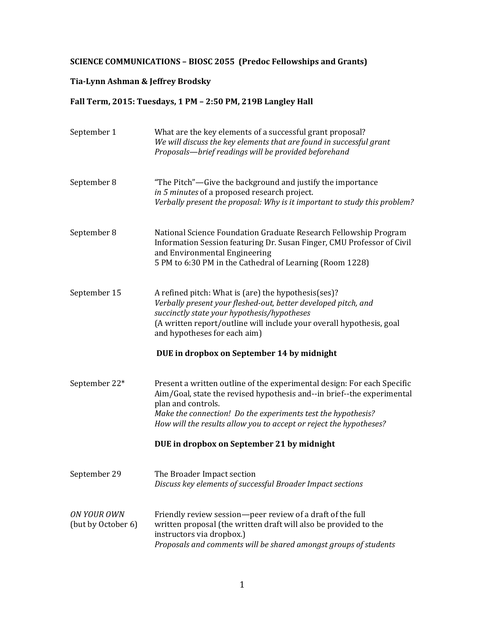## **SCIENCE COMMUNICATIONS - BIOSC 2055 (Predoc Fellowships and Grants)**

# **Tia-Lynn Ashman & Jeffrey Brodsky**

## Fall Term, 2015: Tuesdays, 1 PM - 2:50 PM, 219B Langley Hall

| September 1                       | What are the key elements of a successful grant proposal?<br>We will discuss the key elements that are found in successful grant<br>Proposals-brief readings will be provided beforehand                                                                                                                      |
|-----------------------------------|---------------------------------------------------------------------------------------------------------------------------------------------------------------------------------------------------------------------------------------------------------------------------------------------------------------|
| September 8                       | "The Pitch"—Give the background and justify the importance<br>in 5 minutes of a proposed research project.<br>Verbally present the proposal: Why is it important to study this problem?                                                                                                                       |
| September 8                       | National Science Foundation Graduate Research Fellowship Program<br>Information Session featuring Dr. Susan Finger, CMU Professor of Civil<br>and Environmental Engineering<br>5 PM to 6:30 PM in the Cathedral of Learning (Room 1228)                                                                       |
| September 15                      | A refined pitch: What is (are) the hypothesis(ses)?<br>Verbally present your fleshed-out, better developed pitch, and<br>succinctly state your hypothesis/hypotheses<br>(A written report/outline will include your overall hypothesis, goal<br>and hypotheses for each aim)                                  |
|                                   | DUE in dropbox on September 14 by midnight                                                                                                                                                                                                                                                                    |
| September 22*                     | Present a written outline of the experimental design: For each Specific<br>Aim/Goal, state the revised hypothesis and--in brief--the experimental<br>plan and controls.<br>Make the connection! Do the experiments test the hypothesis?<br>How will the results allow you to accept or reject the hypotheses? |
|                                   | DUE in dropbox on September 21 by midnight                                                                                                                                                                                                                                                                    |
| September 29                      | The Broader Impact section<br>Discuss key elements of successful Broader Impact sections                                                                                                                                                                                                                      |
| ON YOUR OWN<br>(but by October 6) | Friendly review session-peer review of a draft of the full<br>written proposal (the written draft will also be provided to the<br>instructors via dropbox.)<br>Proposals and comments will be shared amongst groups of students                                                                               |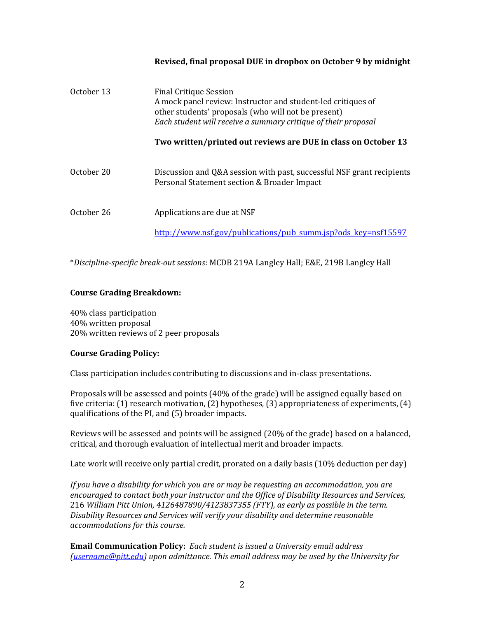### **Revised, final proposal DUE in dropbox on October 9 by midnight**

| October 13 | <b>Final Critique Session</b><br>A mock panel review: Instructor and student-led critiques of<br>other students' proposals (who will not be present)<br>Each student will receive a summary critique of their proposal |
|------------|------------------------------------------------------------------------------------------------------------------------------------------------------------------------------------------------------------------------|
|            | Two written/printed out reviews are DUE in class on October 13                                                                                                                                                         |
| October 20 | Discussion and Q&A session with past, successful NSF grant recipients<br>Personal Statement section & Broader Impact                                                                                                   |
| October 26 | Applications are due at NSF                                                                                                                                                                                            |
|            | http://www.nsf.gov/publications/pub_summ.jsp?ods_key=nsf15597                                                                                                                                                          |

\**Discipline-specific break-out sessions*: MCDB 219A Langley Hall; E&E, 219B Langley Hall

#### **Course Grading Breakdown:**

40% class participation 40% written proposal 20% written reviews of 2 peer proposals

#### **Course Grading Policy:**

Class participation includes contributing to discussions and in-class presentations.

Proposals will be assessed and points (40% of the grade) will be assigned equally based on five criteria:  $(1)$  research motivation,  $(2)$  hypotheses,  $(3)$  appropriateness of experiments,  $(4)$ qualifications of the PI, and (5) broader impacts.

Reviews will be assessed and points will be assigned (20% of the grade) based on a balanced, critical, and thorough evaluation of intellectual merit and broader impacts.

Late work will receive only partial credit, prorated on a daily basis (10% deduction per day)

If you have a disability for which you are or may be requesting an accommodation, you are *encouraged to contact both your instructor and the Office of Disability Resources and Services,* 216 William Pitt Union, 4126487890/4123837355 (FTY), as early as possible in the term. Disability Resources and Services will verify your disability and determine reasonable *accommodations for this course.*

**Email Communication Policy:** *Each student is issued a University email address (username@pitt.edu)* upon admittance. This email address may be used by the University for